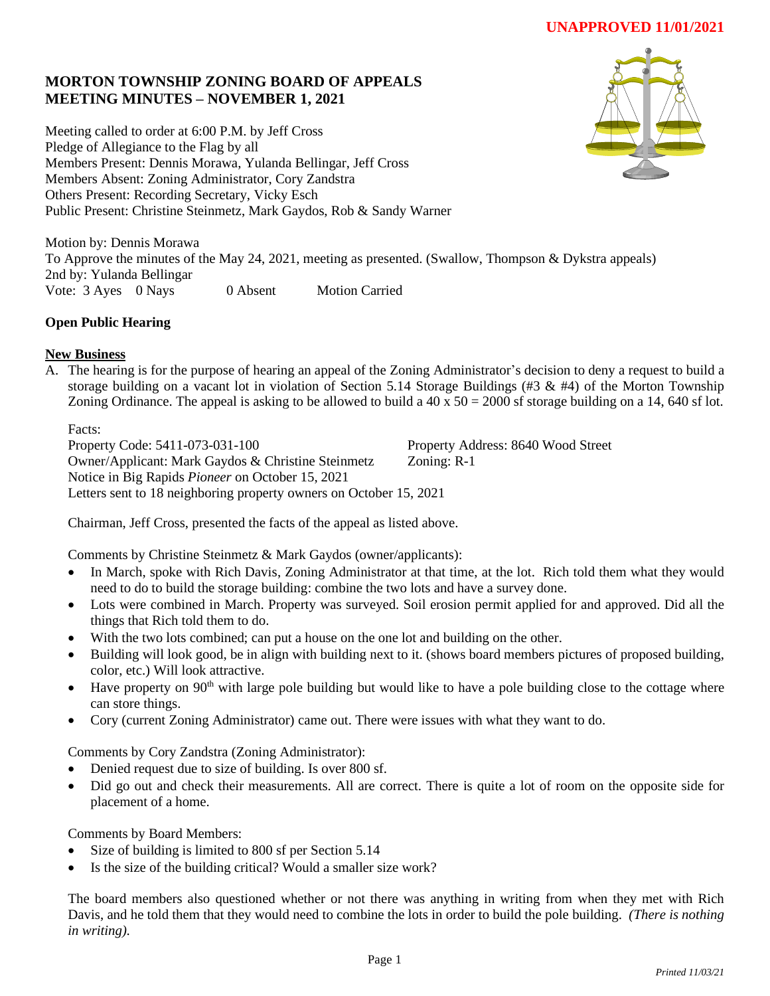# **UNAPPROVED 11/01/2021**

## **MORTON TOWNSHIP ZONING BOARD OF APPEALS MEETING MINUTES – NOVEMBER 1, 2021**

Meeting called to order at 6:00 P.M. by Jeff Cross Pledge of Allegiance to the Flag by all Members Present: Dennis Morawa, Yulanda Bellingar, Jeff Cross Members Absent: Zoning Administrator, Cory Zandstra Others Present: Recording Secretary, Vicky Esch Public Present: Christine Steinmetz, Mark Gaydos, Rob & Sandy Warner



Motion by: Dennis Morawa To Approve the minutes of the May 24, 2021, meeting as presented. (Swallow, Thompson & Dykstra appeals) 2nd by: Yulanda Bellingar Vote: 3 Ayes 0 Nays 0 Absent Motion Carried

## **Open Public Hearing**

## **New Business**

A. The hearing is for the purpose of hearing an appeal of the Zoning Administrator's decision to deny a request to build a storage building on a vacant lot in violation of Section 5.14 Storage Buildings (#3 & #4) of the Morton Township Zoning Ordinance. The appeal is asking to be allowed to build a  $40 \times 50 = 2000$  sf storage building on a 14, 640 sf lot.

Facts:

Property Code: 5411-073-031-100 Property Address: 8640 Wood Street Owner/Applicant: Mark Gaydos & Christine Steinmetz Zoning: R-1 Notice in Big Rapids *Pioneer* on October 15, 2021 Letters sent to 18 neighboring property owners on October 15, 2021

Chairman, Jeff Cross, presented the facts of the appeal as listed above.

Comments by Christine Steinmetz & Mark Gaydos (owner/applicants):

- In March, spoke with Rich Davis, Zoning Administrator at that time, at the lot. Rich told them what they would need to do to build the storage building: combine the two lots and have a survey done.
- Lots were combined in March. Property was surveyed. Soil erosion permit applied for and approved. Did all the things that Rich told them to do.
- With the two lots combined; can put a house on the one lot and building on the other.
- Building will look good, be in align with building next to it. (shows board members pictures of proposed building, color, etc.) Will look attractive.
- $\bullet$  Have property on 90<sup>th</sup> with large pole building but would like to have a pole building close to the cottage where can store things.
- Cory (current Zoning Administrator) came out. There were issues with what they want to do.

Comments by Cory Zandstra (Zoning Administrator):

- Denied request due to size of building. Is over 800 sf.
- Did go out and check their measurements. All are correct. There is quite a lot of room on the opposite side for placement of a home.

Comments by Board Members:

- Size of building is limited to 800 sf per Section 5.14
- Is the size of the building critical? Would a smaller size work?

The board members also questioned whether or not there was anything in writing from when they met with Rich Davis, and he told them that they would need to combine the lots in order to build the pole building. *(There is nothing in writing).*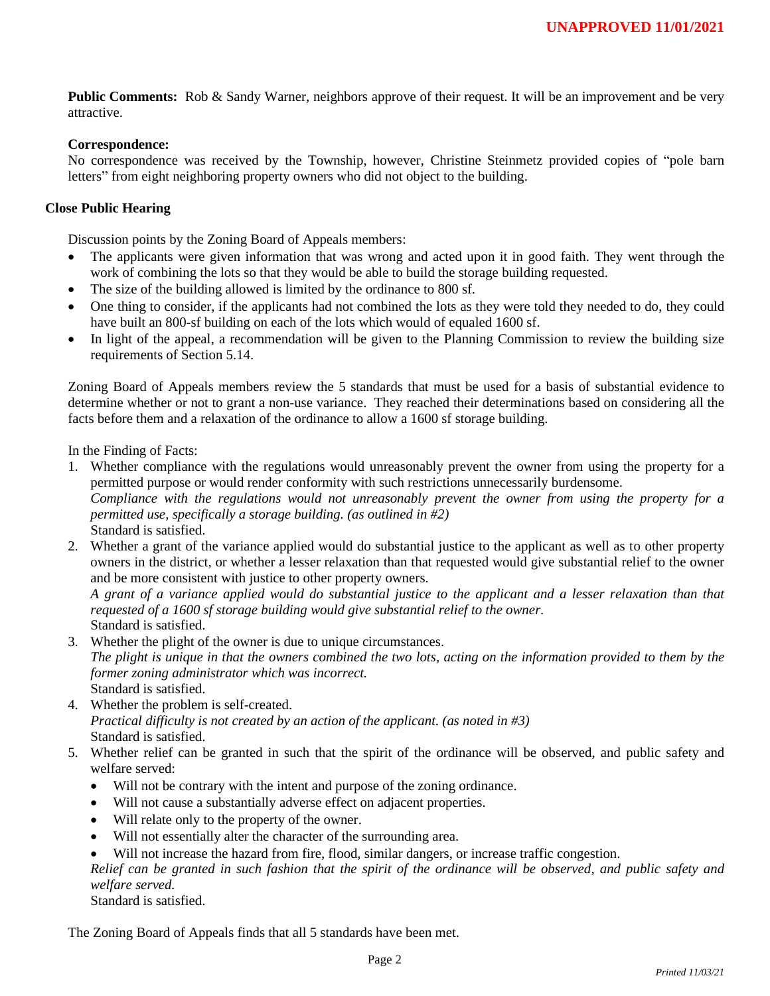**Public Comments:** Rob & Sandy Warner, neighbors approve of their request. It will be an improvement and be very attractive.

#### **Correspondence:**

No correspondence was received by the Township, however, Christine Steinmetz provided copies of "pole barn letters" from eight neighboring property owners who did not object to the building.

### **Close Public Hearing**

Discussion points by the Zoning Board of Appeals members:

- The applicants were given information that was wrong and acted upon it in good faith. They went through the work of combining the lots so that they would be able to build the storage building requested.
- The size of the building allowed is limited by the ordinance to 800 sf.
- One thing to consider, if the applicants had not combined the lots as they were told they needed to do, they could have built an 800-sf building on each of the lots which would of equaled 1600 sf.
- In light of the appeal, a recommendation will be given to the Planning Commission to review the building size requirements of Section 5.14.

Zoning Board of Appeals members review the 5 standards that must be used for a basis of substantial evidence to determine whether or not to grant a non-use variance. They reached their determinations based on considering all the facts before them and a relaxation of the ordinance to allow a 1600 sf storage building.

In the Finding of Facts:

- 1. Whether compliance with the regulations would unreasonably prevent the owner from using the property for a permitted purpose or would render conformity with such restrictions unnecessarily burdensome. *Compliance with the regulations would not unreasonably prevent the owner from using the property for a permitted use, specifically a storage building. (as outlined in #2)* Standard is satisfied.
- 2. Whether a grant of the variance applied would do substantial justice to the applicant as well as to other property owners in the district, or whether a lesser relaxation than that requested would give substantial relief to the owner and be more consistent with justice to other property owners.

*A grant of a variance applied would do substantial justice to the applicant and a lesser relaxation than that requested of a 1600 sf storage building would give substantial relief to the owner.*

Standard is satisfied.

- 3. Whether the plight of the owner is due to unique circumstances. *The plight is unique in that the owners combined the two lots, acting on the information provided to them by the former zoning administrator which was incorrect.* Standard is satisfied.
- 4. Whether the problem is self-created. *Practical difficulty is not created by an action of the applicant. (as noted in #3)* Standard is satisfied.
- 5. Whether relief can be granted in such that the spirit of the ordinance will be observed, and public safety and welfare served:
	- Will not be contrary with the intent and purpose of the zoning ordinance.
	- Will not cause a substantially adverse effect on adjacent properties.
	- Will relate only to the property of the owner.
	- Will not essentially alter the character of the surrounding area.
	- Will not increase the hazard from fire, flood, similar dangers, or increase traffic congestion.

*Relief can be granted in such fashion that the spirit of the ordinance will be observed, and public safety and welfare served.* 

Standard is satisfied.

The Zoning Board of Appeals finds that all 5 standards have been met.